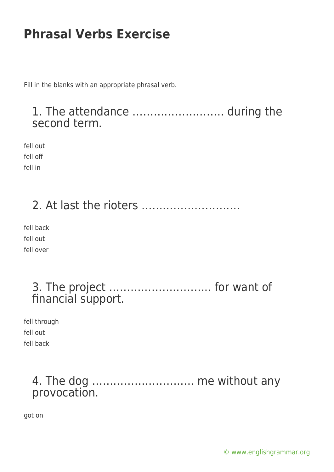Fill in the blanks with an appropriate phrasal verb.

#### 1. The attendance …………………….. during the second term.

fell out fell off fell in

# 2. At last the rioters ……………………….

fell back fell out fell over

### 3. The project ……………………….. for want of financial support.

fell through fell out fell back

#### 4. The dog ……………………….. me without any provocation.

got on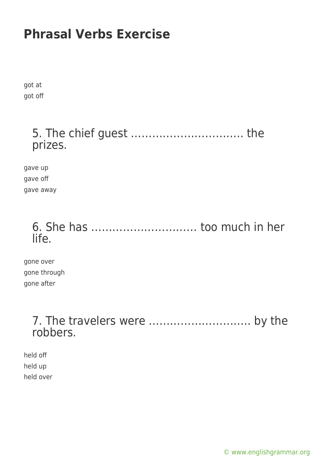got at got off

#### 5. The chief guest ………………………….. the prizes.

gave up gave off gave away

#### 6. She has ………………………… too much in her life.

gone over gone through gone after

#### 7. The travelers were ……………………….. by the robbers.

held off held up held over

[© www.englishgrammar.org](https://www.englishgrammar.org/)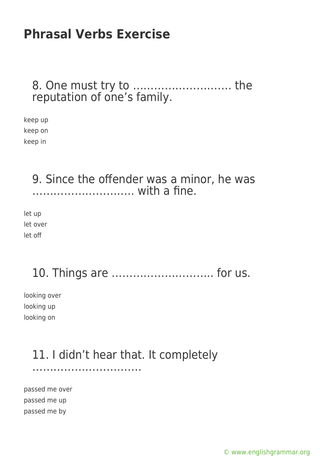8. One must try to ………………………. the reputation of one's family.

keep up keep on keep in

#### 9. Since the offender was a minor, he was ……………………….. with a fine.

let up let over let off

### 10. Things are ……………………….. for us.

looking over looking up looking on

#### 11. I didn't hear that. It completely ………………………….

passed me over passed me up passed me by